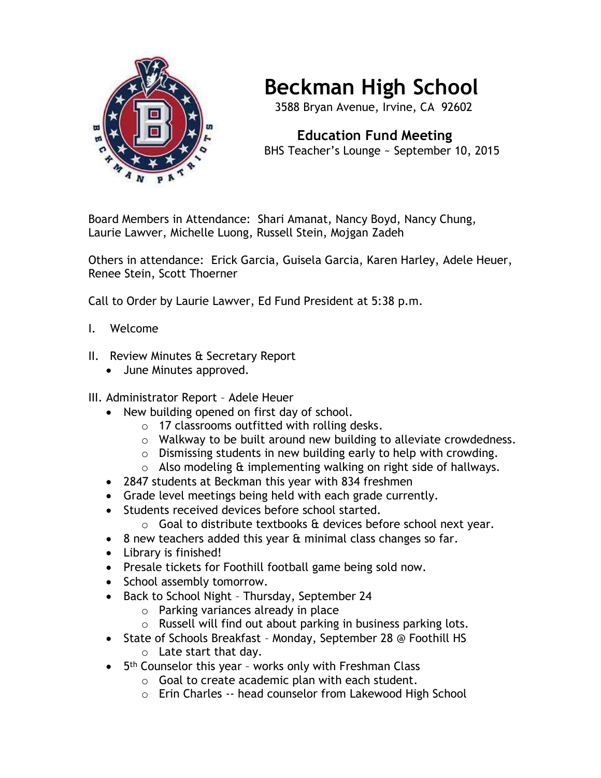

## **Beckman High School**

3588 Bryan Avenue, Irvine, CA 92602

 **Education Fund Meeting** BHS Teacher's Lounge ~ September 10, 2015

Board Members in Attendance: Shari Amanat, Nancy Boyd, Nancy Chung, Laurie Lawver, Michelle Luong, Russell Stein, Mojgan Zadeh

Others in attendance: Erick Garcia, Guisela Garcia, Karen Harley, Adele Heuer, Renee Stein, Scott Thoerner

Call to Order by Laurie Lawver, Ed Fund President at 5:38 p.m.

- I. Welcome
- II. Review Minutes & Secretary Report
	- June Minutes approved.

## III. Administrator Report – Adele Heuer

- New building opened on first day of school.
	- o 17 classrooms outfitted with rolling desks.
	- o Walkway to be built around new building to alleviate crowdedness.
	- o Dismissing students in new building early to help with crowding.
	- $\circ$  Also modeling  $\theta$  implementing walking on right side of hallways.
- 2847 students at Beckman this year with 834 freshmen
- Grade level meetings being held with each grade currently.
- Students received devices before school started.
	- $\circ$  Goal to distribute textbooks  $\hat{a}$  devices before school next year.
- 8 new teachers added this year & minimal class changes so far.
- Library is finished!
- Presale tickets for Foothill football game being sold now.
- School assembly tomorrow.
- Back to School Night Thursday, September 24
	- o Parking variances already in place
	- o Russell will find out about parking in business parking lots.
- State of Schools Breakfast Monday, September 28 @ Foothill HS
	- o Late start that day.
- 5<sup>th</sup> Counselor this year works only with Freshman Class
	- $\circ$  Goal to create academic plan with each student.
	- o Erin Charles -- head counselor from Lakewood High School